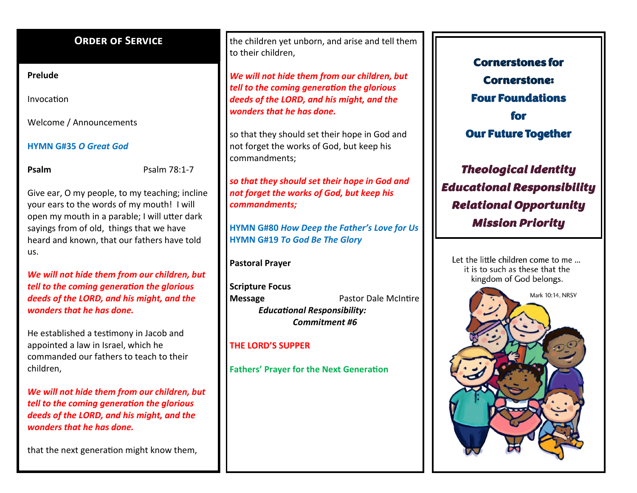## **ORDER OF SERVICE**

### **Prelude**

Invocation

Welcome / Announcements

## **HYMN G#35** *O Great God*

**Psalm** Psalm 78:1-7

Give ear, O my people, to my teaching; incline your ears to the words of my mouth! I will open my mouth in a parable; I will utter dark sayings from of old, things that we have heard and known, that our fathers have told us.

*We will not hide them from our children, but tell to the coming generation the glorious deeds of the LORD, and his might, and the wonders that he has done.*

He established a testimony in Jacob and appointed a law in Israel, which he commanded our fathers to teach to their children,

*We will not hide them from our children, but tell to the coming generation the glorious deeds of the LORD, and his might, and the wonders that he has done.* 

that the next generation might know them,

the children yet unborn, and arise and tell them to their children,

*We will not hide them from our children, but tell to the coming generation the glorious deeds of the LORD, and his might, and the wonders that he has done.* 

so that they should set their hope in God and not forget the works of God, but keep his commandments;

*so that they should set their hope in God and not forget the works of God, but keep his commandments;*

**HYMN G#80** *How Deep the Father's Love for Us* **HYMN G#19** *To God Be The Glory*

**Pastoral Prayer**

**Scripture Focus Message Pastor Dale McIntire**  *Educational Responsibility: Commitment #6*

## **THE LORD'S SUPPER**

**Fathers' Prayer for the Next Generation**

Cornerstones for Cornerstone: Four Foundations for Our Future Together

*Theological Identity Educational Responsibility Relational Opportunity Mission Priority* 

Let the little children come to me... it is to such as these that the kingdom of God belongs.